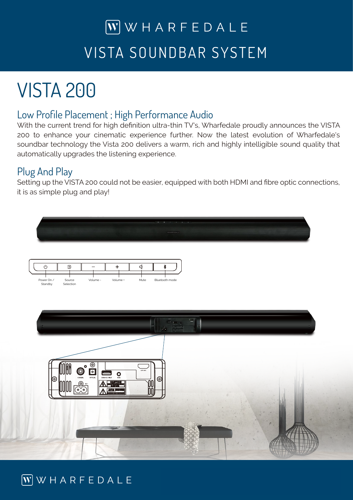# $\overline{W}$  WHARFEDALE VISTA SOUNDBAR SYSTEM

# VISTA 200

#### Low Profile Placement ; High Performance Audio

With the current trend for high definition ultra-thin TV's, Wharfedale proudly announces the VISTA 200 to enhance your cinematic experience further. Now the latest evolution of Wharfedale's soundbar technology the Vista 200 delivers a warm, rich and highly intelligible sound quality that automatically upgrades the listening experience.

### Plug And Play

Setting up the VISTA 200 could not be easier, equipped with both HDMI and fibre optic connections, it is as simple plug and play!



### $\boxed{\mathbf{W}}$  WHARFEDALE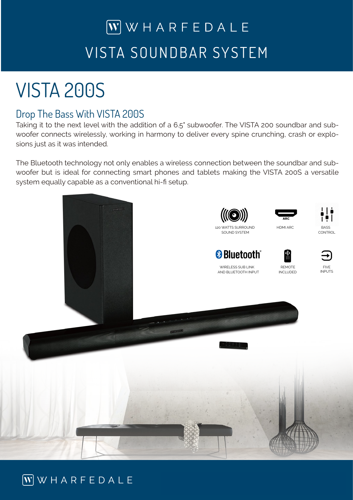# $\overline{W}$  WHARFEDALE VISTA SOUNDBAR SYSTEM

# VISTA 200S

### Drop The Bass With VISTA 200S

Taking it to the next level with the addition of a 6.5" subwoofer. The VISTA 200 soundbar and subwoofer connects wirelessly, working in harmony to deliver every spine crunching, crash or explosions just as it was intended.

The Bluetooth technology not only enables a wireless connection between the soundbar and subwoofer but is ideal for connecting smart phones and tablets making the VISTA 200S a versatile system equally capable as a conventional hi-fi setup.